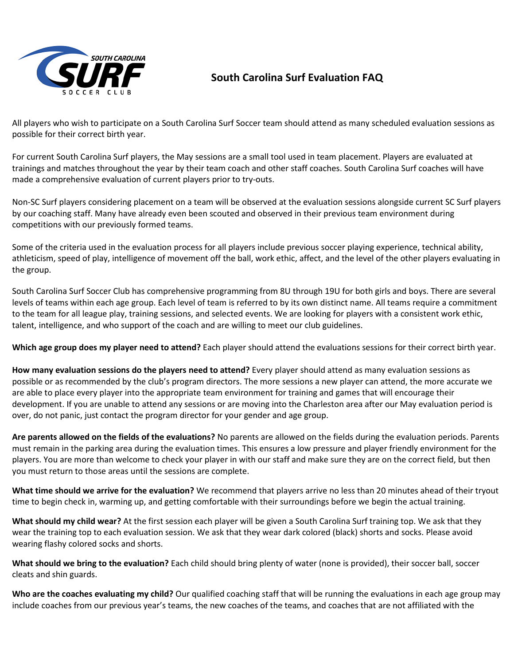

## **South Carolina Surf Evaluation FAQ**

All players who wish to participate on a South Carolina Surf Soccer team should attend as many scheduled evaluation sessions as possible for their correct birth year.

For current South Carolina Surf players, the May sessions are a small tool used in team placement. Players are evaluated at trainings and matches throughout the year by their team coach and other staff coaches. South Carolina Surf coaches will have made a comprehensive evaluation of current players prior to try-outs.

Non-SC Surf players considering placement on a team will be observed at the evaluation sessions alongside current SC Surf players by our coaching staff. Many have already even been scouted and observed in their previous team environment during competitions with our previously formed teams.

Some of the criteria used in the evaluation process for all players include previous soccer playing experience, technical ability, athleticism, speed of play, intelligence of movement off the ball, work ethic, affect, and the level of the other players evaluating in the group.

South Carolina Surf Soccer Club has comprehensive programming from 8U through 19U for both girls and boys. There are several levels of teams within each age group. Each level of team is referred to by its own distinct name. All teams require a commitment to the team for all league play, training sessions, and selected events. We are looking for players with a consistent work ethic, talent, intelligence, and who support of the coach and are willing to meet our club guidelines.

**Which age group does my player need to attend?** Each player should attend the evaluations sessions for their correct birth year.

**How many evaluation sessions do the players need to attend?** Every player should attend as many evaluation sessions as possible or as recommended by the club's program directors. The more sessions a new player can attend, the more accurate we are able to place every player into the appropriate team environment for training and games that will encourage their development. If you are unable to attend any sessions or are moving into the Charleston area after our May evaluation period is over, do not panic, just contact the program director for your gender and age group.

**Are parents allowed on the fields of the evaluations?** No parents are allowed on the fields during the evaluation periods. Parents must remain in the parking area during the evaluation times. This ensures a low pressure and player friendly environment for the players. You are more than welcome to check your player in with our staff and make sure they are on the correct field, but then you must return to those areas until the sessions are complete.

**What time should we arrive for the evaluation?** We recommend that players arrive no less than 20 minutes ahead of their tryout time to begin check in, warming up, and getting comfortable with their surroundings before we begin the actual training.

**What should my child wear?** At the first session each player will be given a South Carolina Surf training top. We ask that they wear the training top to each evaluation session. We ask that they wear dark colored (black) shorts and socks. Please avoid wearing flashy colored socks and shorts.

**What should we bring to the evaluation?** Each child should bring plenty of water (none is provided), their soccer ball, soccer cleats and shin guards.

**Who are the coaches evaluating my child?** Our qualified coaching staff that will be running the evaluations in each age group may include coaches from our previous year's teams, the new coaches of the teams, and coaches that are not affiliated with the